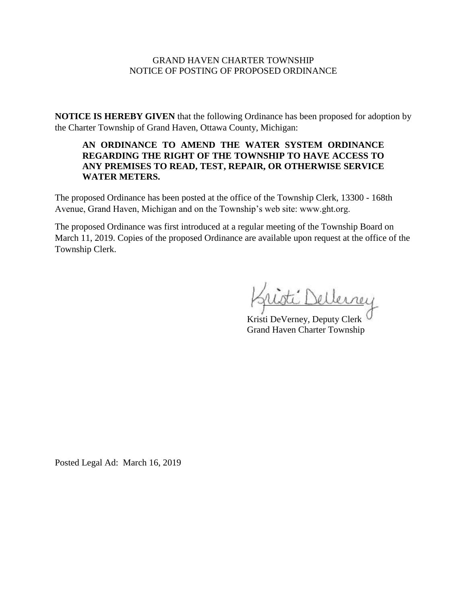### GRAND HAVEN CHARTER TOWNSHIP NOTICE OF POSTING OF PROPOSED ORDINANCE

**NOTICE IS HEREBY GIVEN** that the following Ordinance has been proposed for adoption by the Charter Township of Grand Haven, Ottawa County, Michigan:

## **AN ORDINANCE TO AMEND THE WATER SYSTEM ORDINANCE REGARDING THE RIGHT OF THE TOWNSHIP TO HAVE ACCESS TO ANY PREMISES TO READ, TEST, REPAIR, OR OTHERWISE SERVICE WATER METERS.**

The proposed Ordinance has been posted at the office of the Township Clerk, 13300 - 168th Avenue, Grand Haven, Michigan and on the Township's web site: www.ght.org.

The proposed Ordinance was first introduced at a regular meeting of the Township Board on March 11, 2019. Copies of the proposed Ordinance are available upon request at the office of the Township Clerk.

 $I$  Dellerree

Kristi DeVerney, Deputy Clerk Grand Haven Charter Township

Posted Legal Ad: March 16, 2019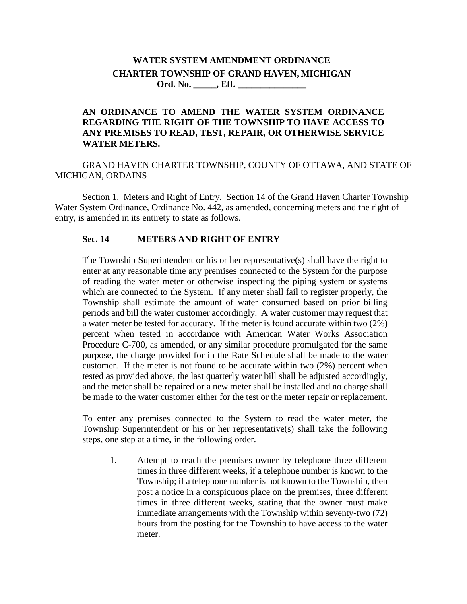# **WATER SYSTEM AMENDMENT ORDINANCE CHARTER TOWNSHIP OF GRAND HAVEN, MICHIGAN Ord. No. \_\_\_\_\_, Eff. \_\_\_\_\_\_\_\_\_\_\_\_\_\_\_**

### **AN ORDINANCE TO AMEND THE WATER SYSTEM ORDINANCE REGARDING THE RIGHT OF THE TOWNSHIP TO HAVE ACCESS TO ANY PREMISES TO READ, TEST, REPAIR, OR OTHERWISE SERVICE WATER METERS.**

GRAND HAVEN CHARTER TOWNSHIP, COUNTY OF OTTAWA, AND STATE OF MICHIGAN, ORDAINS

Section 1. Meters and Right of Entry. Section 14 of the Grand Haven Charter Township Water System Ordinance, Ordinance No. 442, as amended, concerning meters and the right of entry, is amended in its entirety to state as follows.

### **Sec. 14 METERS AND RIGHT OF ENTRY**

The Township Superintendent or his or her representative(s) shall have the right to enter at any reasonable time any premises connected to the System for the purpose of reading the water meter or otherwise inspecting the piping system or systems which are connected to the System. If any meter shall fail to register properly, the Township shall estimate the amount of water consumed based on prior billing periods and bill the water customer accordingly. A water customer may request that a water meter be tested for accuracy. If the meter is found accurate within two (2%) percent when tested in accordance with American Water Works Association Procedure C-700, as amended, or any similar procedure promulgated for the same purpose, the charge provided for in the Rate Schedule shall be made to the water customer. If the meter is not found to be accurate within two (2%) percent when tested as provided above, the last quarterly water bill shall be adjusted accordingly, and the meter shall be repaired or a new meter shall be installed and no charge shall be made to the water customer either for the test or the meter repair or replacement.

To enter any premises connected to the System to read the water meter, the Township Superintendent or his or her representative(s) shall take the following steps, one step at a time, in the following order.

1. Attempt to reach the premises owner by telephone three different times in three different weeks, if a telephone number is known to the Township; if a telephone number is not known to the Township, then post a notice in a conspicuous place on the premises, three different times in three different weeks, stating that the owner must make immediate arrangements with the Township within seventy-two (72) hours from the posting for the Township to have access to the water meter.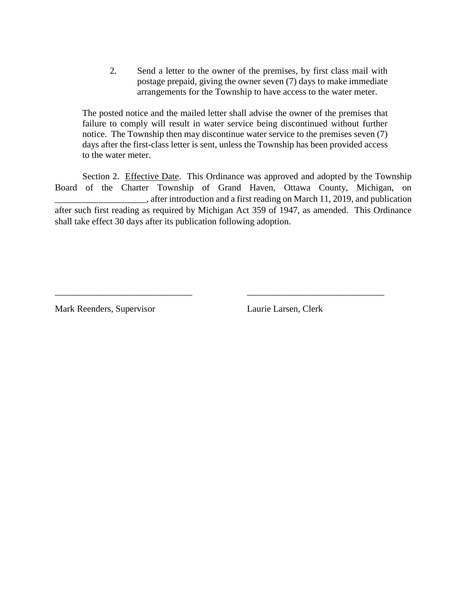2. Send a letter to the owner of the premises, by first class mail with postage prepaid, giving the owner seven (7) days to make immediate arrangements for the Township to have access to the water meter.

The posted notice and the mailed letter shall advise the owner of the premises that failure to comply will result in water service being discontinued without further notice. The Township then may discontinue water service to the premises seven (7) days after the first-class letter is sent, unless the Township has been provided access to the water meter.

Section 2. Effective Date. This Ordinance was approved and adopted by the Township Board of the Charter Township of Grand Haven, Ottawa County, Michigan, on \_\_\_\_\_\_\_\_\_\_\_\_\_\_\_\_\_\_\_\_, after introduction and a first reading on March 11, 2019, and publication after such first reading as required by Michigan Act 359 of 1947, as amended. This Ordinance shall take effect 30 days after its publication following adoption.

\_\_\_\_\_\_\_\_\_\_\_\_\_\_\_\_\_\_\_\_\_\_\_\_\_\_\_\_\_\_ \_\_\_\_\_\_\_\_\_\_\_\_\_\_\_\_\_\_\_\_\_\_\_\_\_\_\_\_\_\_

Mark Reenders, Supervisor Laurie Larsen, Clerk